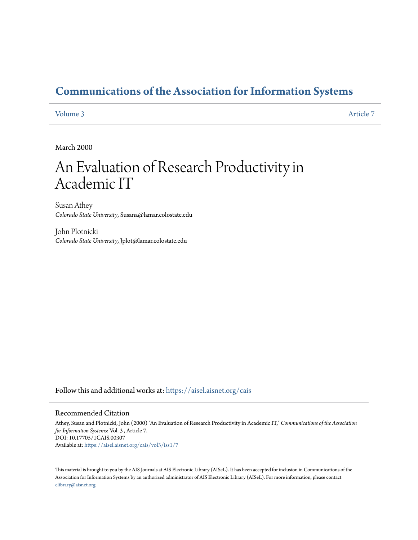# **[Communications of the Association for Information Systems](https://aisel.aisnet.org/cais?utm_source=aisel.aisnet.org%2Fcais%2Fvol3%2Fiss1%2F7&utm_medium=PDF&utm_campaign=PDFCoverPages)**

#### [Volume 3](https://aisel.aisnet.org/cais/vol3?utm_source=aisel.aisnet.org%2Fcais%2Fvol3%2Fiss1%2F7&utm_medium=PDF&utm_campaign=PDFCoverPages) [Article 7](https://aisel.aisnet.org/cais/vol3/iss1/7?utm_source=aisel.aisnet.org%2Fcais%2Fvol3%2Fiss1%2F7&utm_medium=PDF&utm_campaign=PDFCoverPages)

March 2000

# An Evaluation of Research Productivity in Academic IT

Susan Athey *Colorado State University*, Susana@lamar.colostate.edu

John Plotnicki *Colorado State University*, Jplot@lamar.colostate.edu

Follow this and additional works at: [https://aisel.aisnet.org/cais](https://aisel.aisnet.org/cais?utm_source=aisel.aisnet.org%2Fcais%2Fvol3%2Fiss1%2F7&utm_medium=PDF&utm_campaign=PDFCoverPages)

#### Recommended Citation

Athey, Susan and Plotnicki, John (2000) "An Evaluation of Research Productivity in Academic IT," *Communications of the Association for Information Systems*: Vol. 3 , Article 7. DOI: 10.17705/1CAIS.00307 Available at: [https://aisel.aisnet.org/cais/vol3/iss1/7](https://aisel.aisnet.org/cais/vol3/iss1/7?utm_source=aisel.aisnet.org%2Fcais%2Fvol3%2Fiss1%2F7&utm_medium=PDF&utm_campaign=PDFCoverPages)

This material is brought to you by the AIS Journals at AIS Electronic Library (AISeL). It has been accepted for inclusion in Communications of the Association for Information Systems by an authorized administrator of AIS Electronic Library (AISeL). For more information, please contact [elibrary@aisnet.org.](mailto:elibrary@aisnet.org%3E)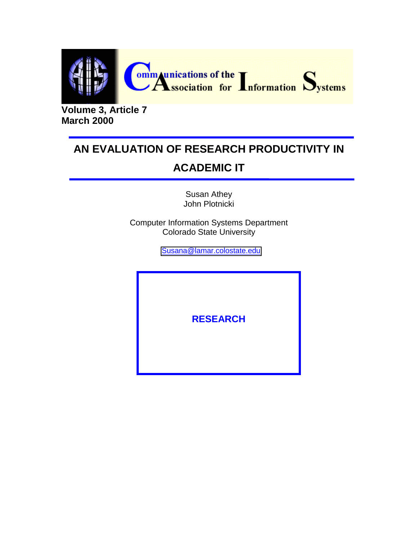

**Volume 3, Article 7 March 2000**

# **AN EVALUATION OF RESEARCH PRODUCTIVITY IN ACADEMIC IT**

Susan Athey John Plotnicki

Computer Information Systems Department Colorado State University

[Susana@lamar.colostate.edu](mailto:Susana@lamar.colostate.edu)

**RESEARCH**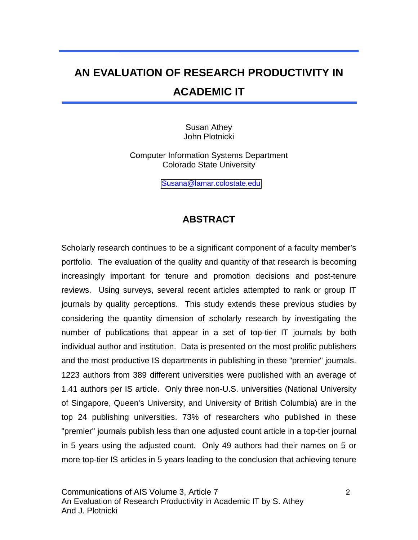# **AN EVALUATION OF RESEARCH PRODUCTIVITY IN ACADEMIC IT**

Susan Athey John Plotnicki

Computer Information Systems Department Colorado State University

[Susana@lamar.colostate.edu](mailto:Susana@lamar.colostate.edu)

## **ABSTRACT**

Scholarly research continues to be a significant component of a faculty member's portfolio. The evaluation of the quality and quantity of that research is becoming increasingly important for tenure and promotion decisions and post-tenure reviews. Using surveys, several recent articles attempted to rank or group IT journals by quality perceptions. This study extends these previous studies by considering the quantity dimension of scholarly research by investigating the number of publications that appear in a set of top-tier IT journals by both individual author and institution. Data is presented on the most prolific publishers and the most productive IS departments in publishing in these "premier" journals. 1223 authors from 389 different universities were published with an average of 1.41 authors per IS article. Only three non-U.S. universities (National University of Singapore, Queen's University, and University of British Columbia) are in the top 24 publishing universities. 73% of researchers who published in these "premier" journals publish less than one adjusted count article in a top-tier journal in 5 years using the adjusted count. Only 49 authors had their names on 5 or more top-tier IS articles in 5 years leading to the conclusion that achieving tenure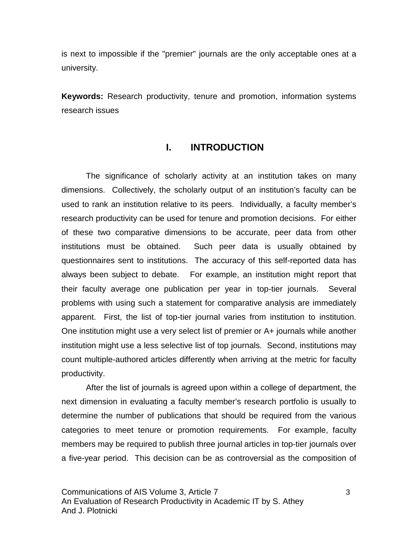is next to impossible if the "premier" journals are the only acceptable ones at a university.

**Keywords:** Research productivity, tenure and promotion, information systems research issues

## **I. INTRODUCTION**

The significance of scholarly activity at an institution takes on many dimensions. Collectively, the scholarly output of an institution's faculty can be used to rank an institution relative to its peers. Individually, a faculty member's research productivity can be used for tenure and promotion decisions. For either of these two comparative dimensions to be accurate, peer data from other institutions must be obtained. Such peer data is usually obtained by questionnaires sent to institutions. The accuracy of this self-reported data has always been subject to debate. For example, an institution might report that their faculty average one publication per year in top-tier journals. Several problems with using such a statement for comparative analysis are immediately apparent. First, the list of top-tier journal varies from institution to institution. One institution might use a very select list of premier or A+ journals while another institution might use a less selective list of top journals. Second, institutions may count multiple-authored articles differently when arriving at the metric for faculty productivity.

After the list of journals is agreed upon within a college of department, the next dimension in evaluating a faculty member's research portfolio is usually to determine the number of publications that should be required from the various categories to meet tenure or promotion requirements. For example, faculty members may be required to publish three journal articles in top-tier journals over a five-year period. This decision can be as controversial as the composition of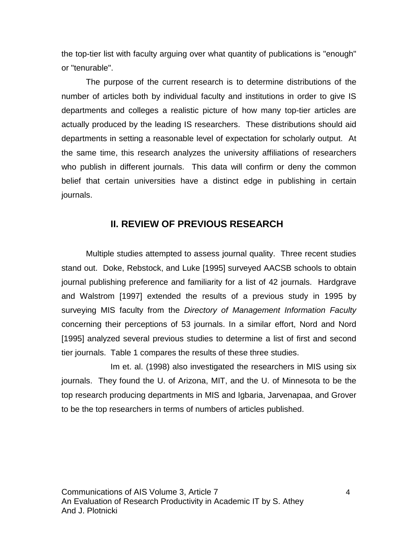the top-tier list with faculty arguing over what quantity of publications is "enough" or "tenurable".

The purpose of the current research is to determine distributions of the number of articles both by individual faculty and institutions in order to give IS departments and colleges a realistic picture of how many top-tier articles are actually produced by the leading IS researchers. These distributions should aid departments in setting a reasonable level of expectation for scholarly output. At the same time, this research analyzes the university affiliations of researchers who publish in different journals. This data will confirm or deny the common belief that certain universities have a distinct edge in publishing in certain journals.

## **II. REVIEW OF PREVIOUS RESEARCH**

Multiple studies attempted to assess journal quality. Three recent studies stand out. Doke, Rebstock, and Luke [1995] surveyed AACSB schools to obtain journal publishing preference and familiarity for a list of 42 journals. Hardgrave and Walstrom [1997] extended the results of a previous study in 1995 by surveying MIS faculty from the Directory of Management Information Faculty concerning their perceptions of 53 journals. In a similar effort, Nord and Nord [1995] analyzed several previous studies to determine a list of first and second tier journals. Table 1 compares the results of these three studies.

Im et. al. (1998) also investigated the researchers in MIS using six journals. They found the U. of Arizona, MIT, and the U. of Minnesota to be the top research producing departments in MIS and Igbaria, Jarvenapaa, and Grover to be the top researchers in terms of numbers of articles published.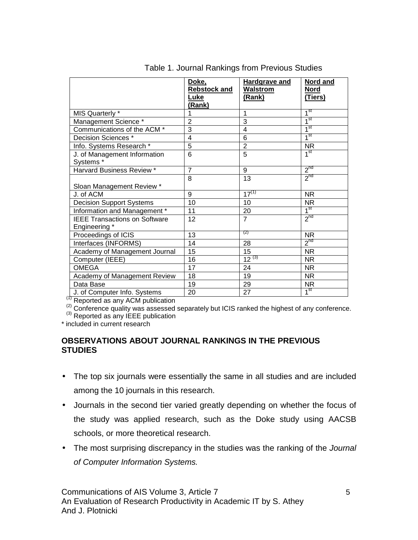|                                                       | Doke,<br><b>Rebstock and</b><br>Luke<br>(Rank) | <b>Hardgrave and</b><br>Walstrom<br>(Rank) | Nord and<br>Nord<br>(Tiers) |
|-------------------------------------------------------|------------------------------------------------|--------------------------------------------|-----------------------------|
| MIS Quarterly *                                       | 1                                              | 1                                          | 1 <sup>st</sup>             |
| Management Science *                                  | $\overline{2}$                                 | 3                                          | 1 <sup>st</sup>             |
| Communications of the ACM *                           | $\overline{3}$                                 | $\overline{4}$                             | 1 <sup>st</sup>             |
| Decision Sciences *                                   | 4                                              | 6                                          | 1 <sup>st</sup>             |
| Info. Systems Research *                              | 5                                              | $\overline{2}$                             | <b>NR</b>                   |
| J. of Management Information<br>Systems*              | $\overline{6}$                                 | $\overline{5}$                             | 1 <sup>st</sup>             |
| Harvard Business Review *                             | $\overline{7}$                                 | 9                                          | 2 <sup>nd</sup>             |
| Sloan Management Review *                             | 8                                              | 13                                         | $2^{nd}$                    |
| J. of ACM                                             | 9                                              | $17^{(1)}$                                 | <b>NR</b>                   |
| <b>Decision Support Systems</b>                       | 10                                             | 10                                         | NR.                         |
| Information and Management *                          | 11                                             | 20                                         | 1 <sup>st</sup>             |
| <b>IEEE Transactions on Software</b><br>Engineering * | 12                                             | $\overline{7}$                             | $2^{nd}$                    |
| Proceedings of ICIS                                   | 13                                             | (2)                                        | <b>NR</b>                   |
| Interfaces (INFORMS)                                  | 14                                             | 28                                         | $2^{nd}$                    |
| Academy of Management Journal                         | 15                                             | 15                                         | <b>NR</b>                   |
| Computer (IEEE)                                       | 16                                             | $12^{(3)}$                                 | <b>NR</b>                   |
| <b>OMEGA</b>                                          | 17                                             | 24                                         | NR.                         |
| Academy of Management Review                          | 18                                             | 19                                         | <b>NR</b>                   |
| Data Base                                             | 19                                             | 29                                         | <b>NR</b>                   |
| J. of Computer Info. Systems                          | 20                                             | 27                                         | 1 <sup>st</sup>             |

Table 1. Journal Rankings from Previous Studies

(1) Reported as any ACM publication<br>
(2) Conference quality was assessed separately but ICIS ranked the highest of any conference.<br>
(3) Reported as any IEEE publication

\* included in current research

#### **OBSERVATIONS ABOUT JOURNAL RANKINGS IN THE PREVIOUS STUDIES**

- The top six journals were essentially the same in all studies and are included among the 10 journals in this research.
- Journals in the second tier varied greatly depending on whether the focus of the study was applied research, such as the Doke study using AACSB schools, or more theoretical research.
- The most surprising discrepancy in the studies was the ranking of the Journal of Computer Information Systems.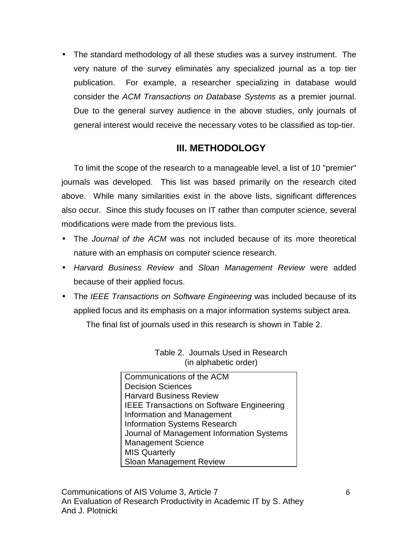• The standard methodology of all these studies was a survey instrument. The very nature of the survey eliminates any specialized journal as a top tier publication. For example, a researcher specializing in database would consider the ACM Transactions on Database Systems as a premier journal. Due to the general survey audience in the above studies, only journals of general interest would receive the necessary votes to be classified as top-tier.

## **III. METHODOLOGY**

To limit the scope of the research to a manageable level, a list of 10 "premier" journals was developed. This list was based primarily on the research cited above. While many similarities exist in the above lists, significant differences also occur. Since this study focuses on IT rather than computer science, several modifications were made from the previous lists.

- The Journal of the ACM was not included because of its more theoretical nature with an emphasis on computer science research.
- Harvard Business Review and Sloan Management Review were added because of their applied focus.
- The IEEE Transactions on Software Engineering was included because of its applied focus and its emphasis on a major information systems subject area.

The final list of journals used in this research is shown in Table 2.

Communications of the ACM Decision Sciences Harvard Business Review IEEE Transactions on Software Engineering Information and Management Information Systems Research Journal of Management Information Systems Management Science MIS Quarterly Sloan Management Review

Table 2. Journals Used in Research (in alphabetic order)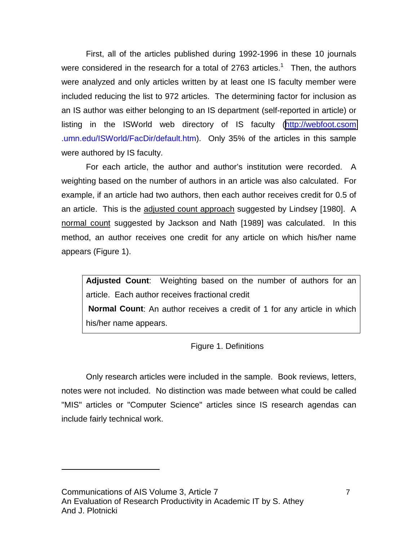First, all of the articles published during 1992-1996 in these 10 journals were considered in the research for a total of 2763 articles.<sup>1</sup> Then, the authors were analyzed and only articles written by at least one IS faculty member were included reducing the list to 972 articles. The determining factor for inclusion as an IS author was either belonging to an IS department (self-reported in article) or listing in the ISWorld web directory of IS faculty ([http://webfoot.csom](http://webfoot.csom/) .umn.edu/ISWorld/FacDir/default.htm). Only 35% of the articles in this sample were authored by IS faculty.

For each article, the author and author's institution were recorded. A weighting based on the number of authors in an article was also calculated. For example, if an article had two authors, then each author receives credit for 0.5 of an article. This is the adjusted count approach suggested by Lindsey [1980]. A normal count suggested by Jackson and Nath [1989] was calculated. In this method, an author receives one credit for any article on which his/her name appears (Figure 1).

**Adjusted Count**: Weighting based on the number of authors for an article. Each author receives fractional credit **Normal Count**: An author receives a credit of 1 for any article in which his/her name appears.

Figure 1. Definitions

Only research articles were included in the sample. Book reviews, letters, notes were not included. No distinction was made between what could be called "MIS" articles or "Computer Science" articles since IS research agendas can include fairly technical work.

l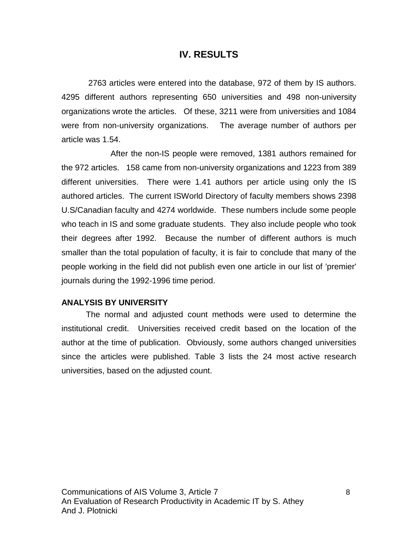### **IV. RESULTS**

 2763 articles were entered into the database, 972 of them by IS authors. 4295 different authors representing 650 universities and 498 non-university organizations wrote the articles. Of these, 3211 were from universities and 1084 were from non-university organizations. The average number of authors per article was 1.54.

After the non-IS people were removed, 1381 authors remained for the 972 articles. 158 came from non-university organizations and 1223 from 389 different universities. There were 1.41 authors per article using only the IS authored articles. The current ISWorld Directory of faculty members shows 2398 U.S/Canadian faculty and 4274 worldwide. These numbers include some people who teach in IS and some graduate students. They also include people who took their degrees after 1992. Because the number of different authors is much smaller than the total population of faculty, it is fair to conclude that many of the people working in the field did not publish even one article in our list of 'premier' journals during the 1992-1996 time period.

#### **ANALYSIS BY UNIVERSITY**

The normal and adjusted count methods were used to determine the institutional credit. Universities received credit based on the location of the author at the time of publication. Obviously, some authors changed universities since the articles were published. Table 3 lists the 24 most active research universities, based on the adjusted count.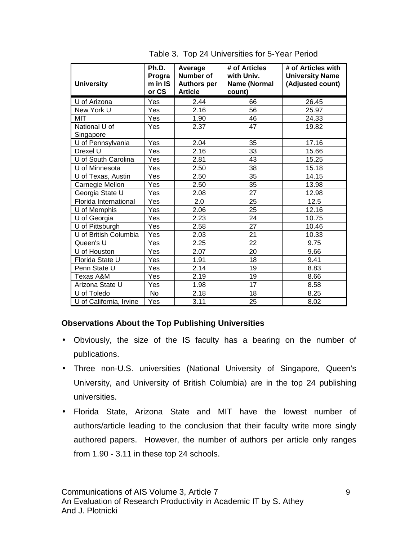| <b>University</b>          | Ph.D.<br>Progra<br>m in IS<br>or CS | Average<br><b>Number of</b><br><b>Authors per</b><br><b>Article</b> | # of Articles<br>with Univ.<br>Name (Normal<br>count) | # of Articles with<br><b>University Name</b><br>(Adjusted count) |
|----------------------------|-------------------------------------|---------------------------------------------------------------------|-------------------------------------------------------|------------------------------------------------------------------|
| U of Arizona               | Yes                                 | 2.44                                                                | 66                                                    | 26.45                                                            |
| New York U                 | Yes                                 | 2.16                                                                | 56                                                    | 25.97                                                            |
| <b>MIT</b>                 | Yes                                 | 1.90                                                                | 46                                                    | 24.33                                                            |
| National U of<br>Singapore | Yes                                 | 2.37                                                                | 47                                                    | 19.82                                                            |
| U of Pennsylvania          | Yes                                 | 2.04                                                                | 35                                                    | 17.16                                                            |
| Drexel U                   | Yes                                 | 2.16                                                                | 33                                                    | 15.66                                                            |
| U of South Carolina        | Yes                                 | 2.81                                                                | 43                                                    | 15.25                                                            |
| U of Minnesota             | Yes                                 | 2.50                                                                | 38                                                    | 15.18                                                            |
| U of Texas, Austin         | Yes                                 | 2.50                                                                | 35                                                    | 14.15                                                            |
| Carnegie Mellon            | Yes                                 | 2.50                                                                | 35                                                    | 13.98                                                            |
| Georgia State U            | Yes                                 | 2.08                                                                | 27                                                    | 12.98                                                            |
| Florida International      | Yes                                 | 2.0                                                                 | 25                                                    | 12.5                                                             |
| U of Memphis               | Yes                                 | 2.06                                                                | 25                                                    | 12.16                                                            |
| U of Georgia               | Yes                                 | 2.23                                                                | 24                                                    | 10.75                                                            |
| U of Pittsburgh            | Yes                                 | 2.58                                                                | 27                                                    | 10.46                                                            |
| U of British Columbia      | Yes                                 | 2.03                                                                | 21                                                    | 10.33                                                            |
| Queen's U                  | Yes                                 | 2.25                                                                | 22                                                    | 9.75                                                             |
| U of Houston               | Yes                                 | 2.07                                                                | 20                                                    | 9.66                                                             |
| Florida State U            | Yes                                 | 1.91                                                                | 18                                                    | 9.41                                                             |
| Penn State U               | Yes                                 | 2.14                                                                | 19                                                    | 8.83                                                             |
| Texas A&M                  | Yes                                 | 2.19                                                                | 19                                                    | 8.66                                                             |
| Arizona State U            | Yes                                 | 1.98                                                                | 17                                                    | 8.58                                                             |
| U of Toledo                | No                                  | 2.18                                                                | 18                                                    | 8.25                                                             |
| U of California, Irvine    | Yes                                 | 3.11                                                                | 25                                                    | 8.02                                                             |

Table 3. Top 24 Universities for 5-Year Period

## **Observations About the Top Publishing Universities**

- Obviously, the size of the IS faculty has a bearing on the number of publications.
- Three non-U.S. universities (National University of Singapore, Queen's University, and University of British Columbia) are in the top 24 publishing universities.
- Florida State, Arizona State and MIT have the lowest number of authors/article leading to the conclusion that their faculty write more singly authored papers. However, the number of authors per article only ranges from 1.90 - 3.11 in these top 24 schools.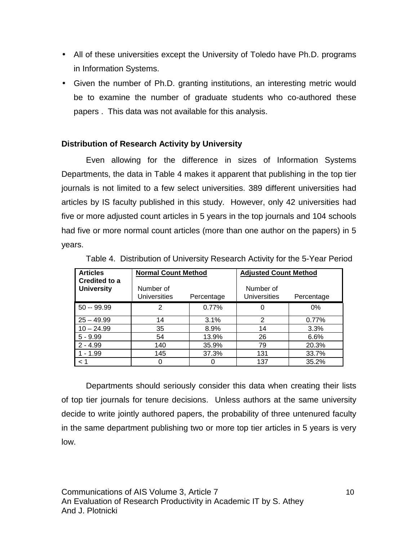- All of these universities except the University of Toledo have Ph.D. programs in Information Systems.
- Given the number of Ph.D. granting institutions, an interesting metric would be to examine the number of graduate students who co-authored these papers . This data was not available for this analysis.

## **Distribution of Research Activity by University**

Even allowing for the difference in sizes of Information Systems Departments, the data in Table 4 makes it apparent that publishing in the top tier journals is not limited to a few select universities. 389 different universities had articles by IS faculty published in this study. However, only 42 universities had five or more adjusted count articles in 5 years in the top journals and 104 schools had five or more normal count articles (more than one author on the papers) in 5 years.

| <b>Articles</b><br>Credited to a<br><b>University</b> | <b>Normal Count Method</b><br>Number of |            | <b>Adjusted Count Method</b><br>Number of |            |
|-------------------------------------------------------|-----------------------------------------|------------|-------------------------------------------|------------|
|                                                       | <b>Universities</b>                     | Percentage | <b>Universities</b>                       | Percentage |
| $50 - 99.99$                                          | 2                                       | 0.77%      | 0                                         | $0\%$      |
| $25 - 49.99$                                          | 14                                      | 3.1%       | 2                                         | 0.77%      |
| $10 - 24.99$                                          | 35                                      | 8.9%       | 14                                        | 3.3%       |
| $5 - 9.99$                                            | 54                                      | 13.9%      | 26                                        | 6.6%       |
| $2 - 4.99$                                            | 140                                     | 35.9%      | 79                                        | 20.3%      |
| $1 - 1.99$                                            | 145                                     | 37.3%      | 131                                       | 33.7%      |
| < 1                                                   |                                         |            | 137                                       | 35.2%      |

Table 4.Distribution of University Research Activity for the 5-Year Period

Departments should seriously consider this data when creating their lists of top tier journals for tenure decisions. Unless authors at the same university decide to write jointly authored papers, the probability of three untenured faculty in the same department publishing two or more top tier articles in 5 years is very low.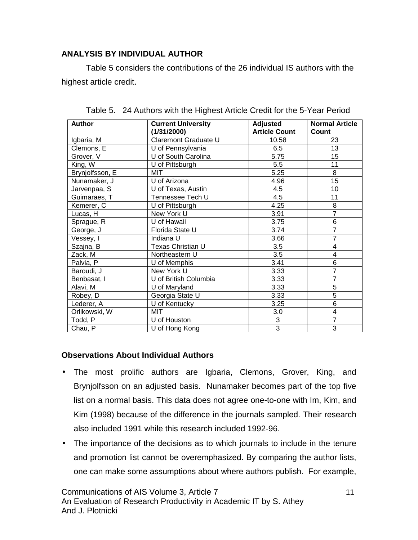### **ANALYSIS BY INDIVIDUAL AUTHOR**

Table 5 considers the contributions of the 26 individual IS authors with the highest article credit.

| <b>Author</b>   | <b>Current University</b><br>(1/31/2000) | <b>Adjusted</b><br><b>Article Count</b> | <b>Normal Article</b><br>Count |
|-----------------|------------------------------------------|-----------------------------------------|--------------------------------|
| Igbaria, M      | Claremont Graduate U                     | 10.58                                   | 23                             |
| Clemons, E      | U of Pennsylvania                        | 6.5                                     | 13                             |
| Grover, V       | U of South Carolina                      | 5.75                                    | 15                             |
| King, W         | U of Pittsburgh                          | 5.5                                     | 11                             |
| Brynjolfsson, E | MIT                                      | 5.25                                    | 8                              |
| Nunamaker, J    | U of Arizona                             | 4.96                                    | 15                             |
| Jarvenpaa, S    | U of Texas, Austin                       | 4.5                                     | 10                             |
| Guimaraes, T    | Tennessee Tech U                         | 4.5                                     | 11                             |
| Kemerer, C      | U of Pittsburgh                          | 4.25                                    | 8                              |
| Lucas, H        | New York U                               | 3.91                                    | $\overline{7}$                 |
| Sprague, R      | U of Hawaii                              | 3.75                                    | 6                              |
| George, J       | Florida State U                          | 3.74                                    | $\overline{7}$                 |
| Vessey, I       | Indiana U                                | 3.66                                    | 7                              |
| Szajna, B       | Texas Christian U                        | 3.5                                     | 4                              |
| Zack, M         | Northeastern U                           | 3.5                                     | 4                              |
| Palvia, P       | U of Memphis                             | 3.41                                    | 6                              |
| Baroudi, J      | New York U                               | 3.33                                    | $\overline{7}$                 |
| Benbasat, I     | U of British Columbia                    | 3.33                                    | $\overline{7}$                 |
| Alavi, M        | U of Maryland                            | 3.33                                    | 5                              |
| Robey, D        | Georgia State U                          | 3.33                                    | 5                              |
| Lederer, A      | U of Kentucky                            | 3.25                                    | 6                              |
| Orlikowski, W   | MIT                                      | 3.0                                     | 4                              |
| Todd, P         | U of Houston                             | 3                                       | $\overline{7}$                 |
| Chau, P         | U of Hong Kong                           | 3                                       | 3                              |

Table 5.24 Authors with the Highest Article Credit for the 5-Year Period

#### **Observations About Individual Authors**

- The most prolific authors are Igbaria, Clemons, Grover, King, and Brynjolfsson on an adjusted basis. Nunamaker becomes part of the top five list on a normal basis. This data does not agree one-to-one with Im, Kim, and Kim (1998) because of the difference in the journals sampled. Their research also included 1991 while this research included 1992-96.
- The importance of the decisions as to which journals to include in the tenure and promotion list cannot be overemphasized. By comparing the author lists, one can make some assumptions about where authors publish. For example,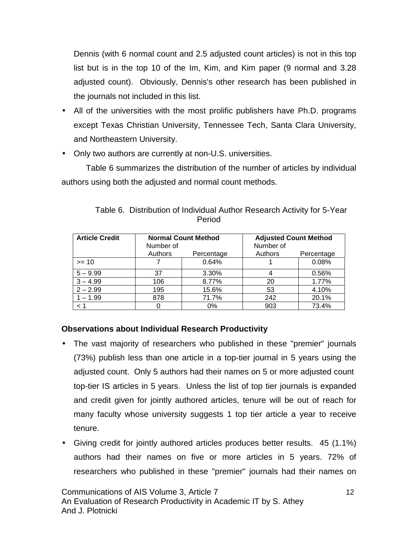Dennis (with 6 normal count and 2.5 adjusted count articles) is not in this top list but is in the top 10 of the Im, Kim, and Kim paper (9 normal and 3.28 adjusted count). Obviously, Dennis's other research has been published in the journals not included in this list.

- All of the universities with the most prolific publishers have Ph.D. programs except Texas Christian University, Tennessee Tech, Santa Clara University, and Northeastern University.
- Only two authors are currently at non-U.S. universities.

Table 6 summarizes the distribution of the number of articles by individual authors using both the adjusted and normal count methods.

| <b>Article Credit</b> | Number of | <b>Normal Count Method</b> | <b>Adjusted Count Method</b><br>Number of |            |
|-----------------------|-----------|----------------------------|-------------------------------------------|------------|
|                       | Authors   | Percentage                 | Authors                                   | Percentage |
| $>= 10$               |           | 0.64%                      |                                           | 0.08%      |
| $5 - 9.99$            | 37        | 3.30%                      |                                           | 0.56%      |
| $3 - 4.99$            | 106       | 8.77%                      | 20                                        | 1.77%      |
| $2 - 2.99$            | 195       | 15.6%                      | 53                                        | 4.10%      |
| $1 - 1.99$            | 878       | 71.7%                      | 242                                       | 20.1%      |
| < 1                   |           | 0%                         | 903                                       | 73.4%      |

Table 6. Distribution of Individual Author Research Activity for 5-Year Period

## **Observations about Individual Research Productivity**

- The vast majority of researchers who published in these "premier" journals (73%) publish less than one article in a top-tier journal in 5 years using the adjusted count. Only 5 authors had their names on 5 or more adjusted count top-tier IS articles in 5 years. Unless the list of top tier journals is expanded and credit given for jointly authored articles, tenure will be out of reach for many faculty whose university suggests 1 top tier article a year to receive tenure.
- Giving credit for jointly authored articles produces better results. 45 (1.1%) authors had their names on five or more articles in 5 years. 72% of researchers who published in these "premier" journals had their names on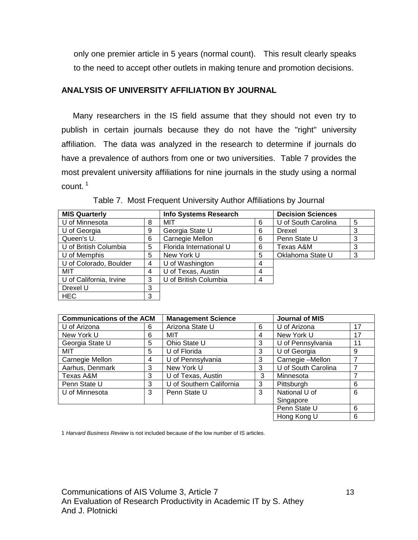only one premier article in 5 years (normal count). This result clearly speaks to the need to accept other outlets in making tenure and promotion decisions.

#### **ANALYSIS OF UNIVERSITY AFFILIATION BY JOURNAL**

 Many researchers in the IS field assume that they should not even try to publish in certain journals because they do not have the "right" university affiliation. The data was analyzed in the research to determine if journals do have a prevalence of authors from one or two universities. Table 7 provides the most prevalent university affiliations for nine journals in the study using a normal count.<sup>1</sup>

| <b>MIS Quarterly</b>    |   | <b>Info Systems Research</b> |   | <b>Decision Sciences</b> |   |
|-------------------------|---|------------------------------|---|--------------------------|---|
| U of Minnesota          | 8 | MIT                          | 6 | U of South Carolina      | 5 |
| U of Georgia            | 9 | Georgia State U              | 6 | Drexel                   | 3 |
| Queen's U.              | 6 | Carnegie Mellon              | 6 | Penn State U             | 3 |
| U of British Columbia   | 5 | Florida International U      | 6 | Texas A&M                | 3 |
| U of Memphis            | 5 | New York U                   | 5 | Oklahoma State U         | 3 |
| U of Colorado, Boulder  | 4 | U of Washington              | 4 |                          |   |
| MIT                     | 4 | U of Texas, Austin           | 4 |                          |   |
| U of California, Irvine | 3 | U of British Columbia        | 4 |                          |   |
| Drexel U                | 3 |                              |   |                          |   |
| <b>HEC</b>              | 3 |                              |   |                          |   |

Table 7. Most Frequent University Author Affiliations by Journal

| <b>Communications of the ACM</b> |   | <b>Management Science</b> |   | <b>Journal of MIS</b> |    |
|----------------------------------|---|---------------------------|---|-----------------------|----|
| U of Arizona                     | 6 | Arizona State U           | 6 | U of Arizona          | 17 |
| New York U                       | 6 | MIT                       | 4 | New York U            | 17 |
| Georgia State U                  | 5 | Ohio State U              | 3 | U of Pennsylvania     | 11 |
| MIT                              | 5 | U of Florida              | 3 | U of Georgia          | 9  |
| Carnegie Mellon                  | 4 | U of Pennsylvania         | 3 | Carnegie -Mellon      |    |
| Aarhus, Denmark                  | 3 | New York U                | 3 | U of South Carolina   | 7  |
| Texas A&M                        | 3 | U of Texas, Austin        | 3 | Minnesota             |    |
| Penn State U                     | 3 | U of Southern California  | 3 | Pittsburgh            | 6  |
| U of Minnesota                   | 3 | Penn State U              | 3 | National U of         | 6  |
|                                  |   |                           |   | Singapore             |    |
|                                  |   |                           |   | Penn State U          | 6  |
|                                  |   |                           |   | Hong Kong U           | 6  |

1 Harvard Business Review is not included because of the low number of IS articles.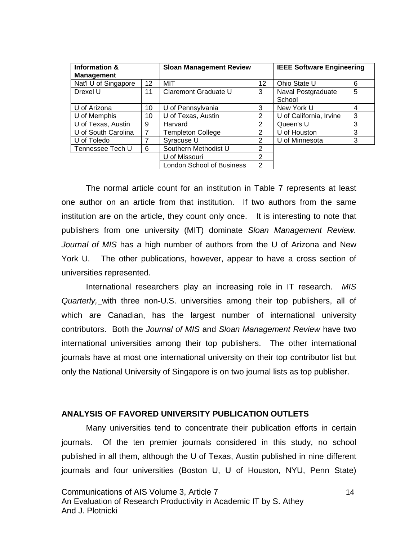| Information &<br><b>Management</b> |    | <b>Sloan Management Review</b> |                 | <b>IEEE Software Engineering</b> |   |
|------------------------------------|----|--------------------------------|-----------------|----------------------------------|---|
| Nat'l U of Singapore               | 12 | MIT                            | 12 <sup>°</sup> | Ohio State U                     | 6 |
| Drexel U                           | 11 | Claremont Graduate U           | 3               | Naval Postgraduate               | 5 |
|                                    |    |                                |                 | School                           |   |
| U of Arizona                       | 10 | U of Pennsylvania              | 3               | New York U                       | 4 |
| U of Memphis                       | 10 | U of Texas, Austin             | 2               | U of California, Irvine          | 3 |
| U of Texas, Austin                 | 9  | Harvard                        | 2               | Queen's U                        | 3 |
| U of South Carolina                | 7  | <b>Templeton College</b>       | 2               | U of Houston                     | 3 |
| U of Toledo                        | 7  | Syracuse U                     | 2               | U of Minnesota                   | 3 |
| Tennessee Tech U                   | 6  | Southern Methodist U           | 2               |                                  |   |
|                                    |    | U of Missouri                  | $\mathcal{P}$   |                                  |   |
|                                    |    | London School of Business      | 2               |                                  |   |

The normal article count for an institution in Table 7 represents at least one author on an article from that institution. If two authors from the same institution are on the article, they count only once. It is interesting to note that publishers from one university (MIT) dominate Sloan Management Review. Journal of MIS has a high number of authors from the U of Arizona and New York U. The other publications, however, appear to have a cross section of universities represented.

International researchers play an increasing role in IT research. MIS Quarterly, with three non-U.S. universities among their top publishers, all of which are Canadian, has the largest number of international university contributors. Both the Journal of MIS and Sloan Management Review have two international universities among their top publishers. The other international journals have at most one international university on their top contributor list but only the National University of Singapore is on two journal lists as top publisher.

#### **ANALYSIS OF FAVORED UNIVERSITY PUBLICATION OUTLETS**

Many universities tend to concentrate their publication efforts in certain journals. Of the ten premier journals considered in this study, no school published in all them, although the U of Texas, Austin published in nine different journals and four universities (Boston U, U of Houston, NYU, Penn State)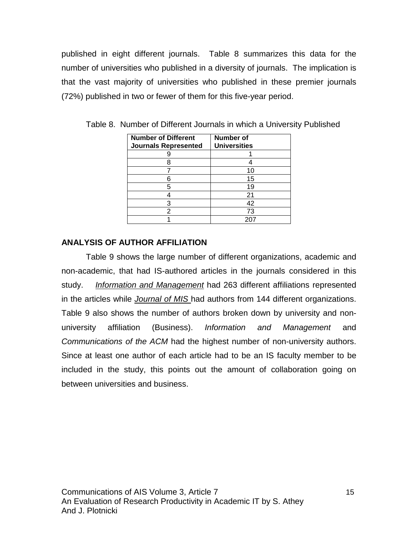published in eight different journals. Table 8 summarizes this data for the number of universities who published in a diversity of journals. The implication is that the vast majority of universities who published in these premier journals (72%) published in two or fewer of them for this five-year period.

| <b>Number of Different</b>  | Number of           |
|-----------------------------|---------------------|
| <b>Journals Represented</b> | <b>Universities</b> |
|                             |                     |
|                             |                     |
|                             | 10                  |
|                             | 15                  |
| 5                           | 19                  |
|                             | 21                  |
| 3                           | 42                  |
| 2                           | 73                  |
|                             |                     |

Table 8. Number of Different Journals in which a University Published

#### **ANALYSIS OF AUTHOR AFFILIATION**

Table 9 shows the large number of different organizations, academic and non-academic, that had IS-authored articles in the journals considered in this study. Information and Management had 263 different affiliations represented in the articles while Journal of MIS had authors from 144 different organizations. Table 9 also shows the number of authors broken down by university and nonuniversity affiliation (Business). Information and Management and Communications of the ACM had the highest number of non-university authors. Since at least one author of each article had to be an IS faculty member to be included in the study, this points out the amount of collaboration going on between universities and business.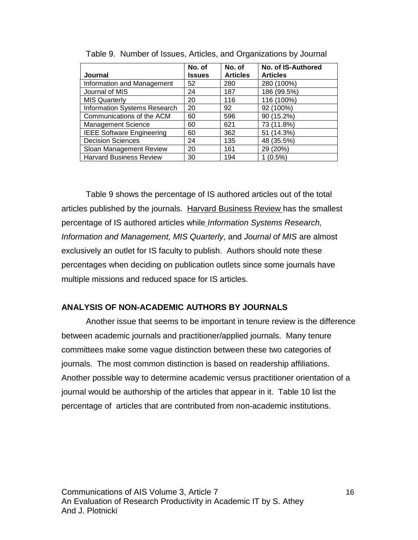|                                     | No. of        | No. of          | No. of IS-Authored |
|-------------------------------------|---------------|-----------------|--------------------|
| <b>Journal</b>                      | <b>Issues</b> | <b>Articles</b> | <b>Articles</b>    |
| Information and Management          | 52            | 280             | 280 (100%)         |
| Journal of MIS                      | 24            | 187             | 186 (99.5%)        |
| <b>MIS Quarterly</b>                | 20            | 116             | 116 (100%)         |
| <b>Information Systems Research</b> | 20            | 92              | 92 (100%)          |
| Communications of the ACM           | 60            | 596             | 90 (15.2%)         |
| <b>Management Science</b>           | 60            | 621             | 73 (11.8%)         |
| <b>IEEE Software Engineering</b>    | 60            | 362             | 51 (14.3%)         |
| <b>Decision Sciences</b>            | 24            | 135             | 48 (35.5%)         |
| Sloan Management Review             | 20            | 161             | 29 (20%)           |
| <b>Harvard Business Review</b>      | 30            | 194             | 1 (0.5%)           |

Table 9. Number of Issues, Articles, and Organizations by Journal

Table 9 shows the percentage of IS authored articles out of the total articles published by the journals. Harvard Business Review has the smallest percentage of IS authored articles while Information Systems Research, Information and Management, MIS Quarterly, and Journal of MIS are almost exclusively an outlet for IS faculty to publish. Authors should note these percentages when deciding on publication outlets since some journals have multiple missions and reduced space for IS articles.

#### **ANALYSIS OF NON-ACADEMIC AUTHORS BY JOURNALS**

Another issue that seems to be important in tenure review is the difference between academic journals and practitioner/applied journals. Many tenure committees make some vague distinction between these two categories of journals. The most common distinction is based on readership affiliations. Another possible way to determine academic versus practitioner orientation of a journal would be authorship of the articles that appear in it. Table 10 list the percentage of articles that are contributed from non-academic institutions.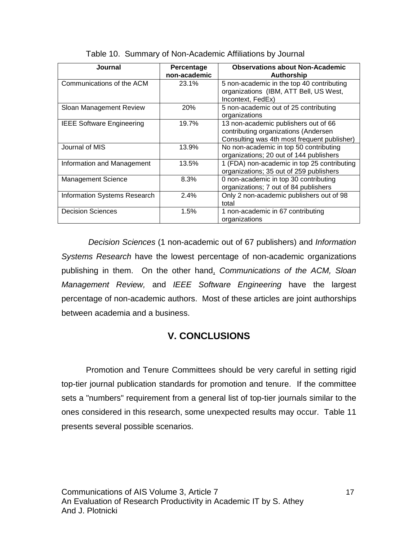| Journal                          | Percentage   | <b>Observations about Non-Academic</b>                                                                                      |
|----------------------------------|--------------|-----------------------------------------------------------------------------------------------------------------------------|
|                                  | non-academic | Authorship                                                                                                                  |
| Communications of the ACM        | 23.1%        | 5 non-academic in the top 40 contributing<br>organizations (IBM, ATT Bell, US West,<br>Incontext, FedEx)                    |
| Sloan Management Review          | <b>20%</b>   | 5 non-academic out of 25 contributing<br>organizations                                                                      |
| <b>IEEE Software Engineering</b> | 19.7%        | 13 non-academic publishers out of 66<br>contributing organizations (Andersen<br>Consulting was 4th most frequent publisher) |
| Journal of MIS                   | 13.9%        | No non-academic in top 50 contributing<br>organizations; 20 out of 144 publishers                                           |
| Information and Management       | 13.5%        | 1 (FDA) non-academic in top 25 contributing<br>organizations; 35 out of 259 publishers                                      |
| <b>Management Science</b>        | 8.3%         | 0 non-academic in top 30 contributing<br>organizations; 7 out of 84 publishers                                              |
| Information Systems Research     | 2.4%         | Only 2 non-academic publishers out of 98<br>total                                                                           |
| <b>Decision Sciences</b>         | 1.5%         | 1 non-academic in 67 contributing<br>organizations                                                                          |

|  | Table 10. Summary of Non-Academic Affiliations by Journal |  |
|--|-----------------------------------------------------------|--|
|  |                                                           |  |

 Decision Sciences (1 non-academic out of 67 publishers) and Information Systems Research have the lowest percentage of non-academic organizations publishing in them. On the other hand, Communications of the ACM, Sloan Management Review, and IEEE Software Engineering have the largest percentage of non-academic authors. Most of these articles are joint authorships between academia and a business.

## **V. CONCLUSIONS**

Promotion and Tenure Committees should be very careful in setting rigid top-tier journal publication standards for promotion and tenure. If the committee sets a "numbers" requirement from a general list of top-tier journals similar to the ones considered in this research, some unexpected results may occur. Table 11 presents several possible scenarios.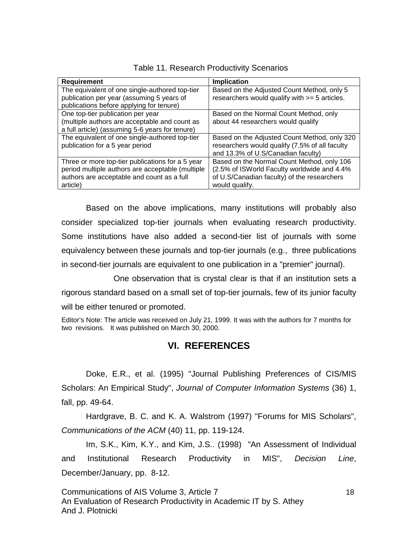| <b>Requirement</b>                               | Implication                                    |
|--------------------------------------------------|------------------------------------------------|
| The equivalent of one single-authored top-tier   | Based on the Adjusted Count Method, only 5     |
| publication per year (assuming 5 years of        | researchers would qualify with >= 5 articles.  |
| publications before applying for tenure)         |                                                |
| One top-tier publication per year                | Based on the Normal Count Method, only         |
| (multiple authors are acceptable and count as    | about 44 researchers would qualify             |
| a full article) (assuming 5-6 years for tenure)  |                                                |
| The equivalent of one single-authored top-tier   | Based on the Adjusted Count Method, only 320   |
| publication for a 5 year period                  | researchers would qualify (7.5% of all faculty |
|                                                  | and 13.3% of U.S/Canadian faculty)             |
| Three or more top-tier publications for a 5 year | Based on the Normal Count Method, only 106     |
| period multiple authors are acceptable (multiple | (2.5% of ISWorld Faculty worldwide and 4.4%)   |
| authors are acceptable and count as a full       | of U.S/Canadian faculty) of the researchers    |
| article)                                         | would qualify.                                 |

Table 11. Research Productivity Scenarios

Based on the above implications, many institutions will probably also consider specialized top-tier journals when evaluating research productivity. Some institutions have also added a second-tier list of journals with some equivalency between these journals and top-tier journals (e.g., three publications in second-tier journals are equivalent to one publication in a "premier" journal).

 One observation that is crystal clear is that if an institution sets a rigorous standard based on a small set of top-tier journals, few of its junior faculty will be either tenured or promoted.

Editor's Note: The article was received on July 21, 1999. It was with the authors for 7 months for two revisions. It was published on March 30, 2000.

## **VI. REFERENCES**

Doke, E.R., et al. (1995) "Journal Publishing Preferences of CIS/MIS Scholars: An Empirical Study", Journal of Computer Information Systems (36) 1, fall, pp. 49-64.

Hardgrave, B. C. and K. A. Walstrom (1997) "Forums for MIS Scholars", Communications of the ACM (40) 11, pp. 119-124.

Im, S.K., Kim, K.Y., and Kim, J.S.. (1998) "An Assessment of Individual and Institutional Research Productivity in MIS", Decision Line, December/January, pp. 8-12.

Communications of AIS Volume 3, Article 7 18 An Evaluation of Research Productivity in Academic IT by S. Athey And J. Plotnicki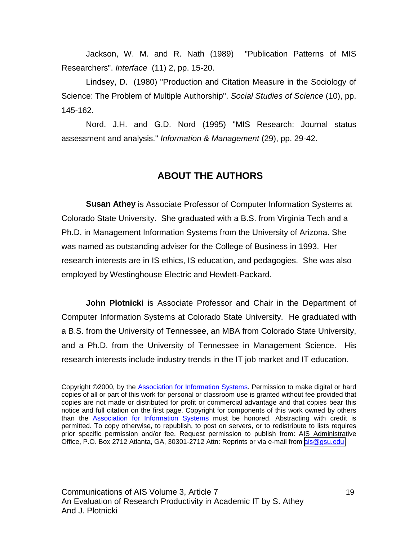Jackson, W. M. and R. Nath (1989) "Publication Patterns of MIS Researchers". Interface (11) 2, pp. 15-20.

Lindsey, D. (1980) "Production and Citation Measure in the Sociology of Science: The Problem of Multiple Authorship". Social Studies of Science (10), pp. 145-162.

Nord, J.H. and G.D. Nord (1995) "MIS Research: Journal status assessment and analysis." Information & Management (29), pp. 29-42.

#### **ABOUT THE AUTHORS**

**Susan Athey** is Associate Professor of Computer Information Systems at Colorado State University. She graduated with a B.S. from Virginia Tech and a Ph.D. in Management Information Systems from the University of Arizona. She was named as outstanding adviser for the College of Business in 1993. Her research interests are in IS ethics, IS education, and pedagogies. She was also employed by Westinghouse Electric and Hewlett-Packard.

**John Plotnicki** is Associate Professor and Chair in the Department of Computer Information Systems at Colorado State University. He graduated with a B.S. from the University of Tennessee, an MBA from Colorado State University, and a Ph.D. from the University of Tennessee in Management Science. His research interests include industry trends in the IT job market and IT education.

Copyright ©2000, by the Association for Information Systems. Permission to make digital or hard copies of all or part of this work for personal or classroom use is granted without fee provided that copies are not made or distributed for profit or commercial advantage and that copies bear this notice and full citation on the first page. Copyright for components of this work owned by others than the Association for Information Systems must be honored. Abstracting with credit is permitted. To copy otherwise, to republish, to post on servers, or to redistribute to lists requires prior specific permission and/or fee. Request permission to publish from: AIS Administrative Office, P.O. Box 2712 Atlanta, GA, 30301-2712 Attn: Reprints or via e-mail from [ais@gsu.edu](mailto:ais@gsu.edu)